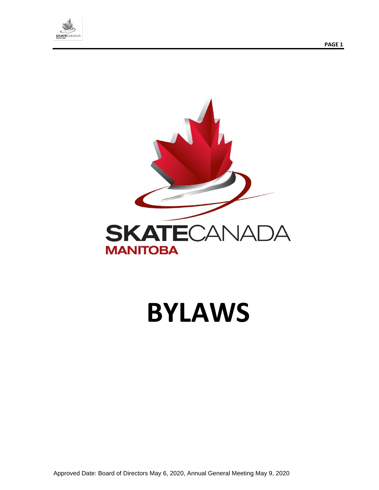





# **BYLAWS**

Approved Date: Board of Directors May 6, 2020, Annual General Meeting May 9, 2020

**PAGE 1**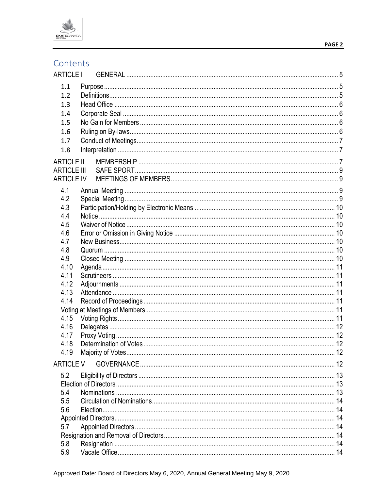

# Contents

| <b>ARTICLE I</b>   |  |
|--------------------|--|
| 1.1                |  |
| 1.2                |  |
| 1.3                |  |
| 1.4                |  |
| 1.5                |  |
| 1.6                |  |
| 1.7                |  |
| 1.8                |  |
| <b>ARTICLE II</b>  |  |
| <b>ARTICLE III</b> |  |
| <b>ARTICLE IV</b>  |  |
| 4.1                |  |
| 4.2                |  |
| 4.3                |  |
| 4.4                |  |
| 4.5                |  |
| 4.6                |  |
| 4.7                |  |
| 4.8                |  |
| 4.9                |  |
| 4.10<br>4.11       |  |
| 4.12               |  |
| 4.13               |  |
| 4.14               |  |
|                    |  |
| 4.15               |  |
| 4.16               |  |
| 4.17               |  |
| 4.18               |  |
| 4.19               |  |
| <b>ARTICLE V</b>   |  |
| 5.2                |  |
|                    |  |
| 5.4                |  |
| 5.5                |  |
| 5.6                |  |
|                    |  |
| 5.7                |  |
|                    |  |
| 5.8                |  |
| 5.9                |  |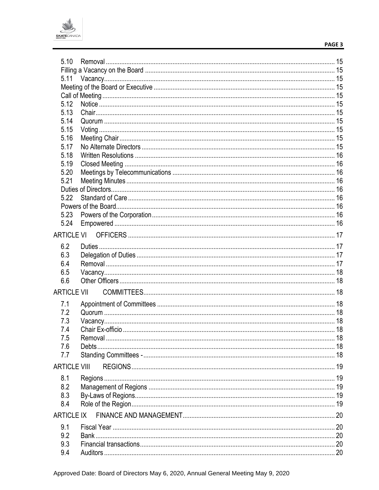

| 5.10                |  |
|---------------------|--|
|                     |  |
| 5.11                |  |
|                     |  |
|                     |  |
| 5.12                |  |
| 5.13                |  |
| 5.14                |  |
| 5.15                |  |
| 5.16                |  |
| 5.17                |  |
| 5.18                |  |
| 5.19                |  |
| 5.20                |  |
| 5.21                |  |
|                     |  |
| 5.22                |  |
|                     |  |
| 5.23                |  |
| 5.24                |  |
|                     |  |
|                     |  |
| 6.2                 |  |
| 6.3                 |  |
| 6.4                 |  |
| 6.5                 |  |
| 6.6                 |  |
|                     |  |
| <b>ARTICLE VII</b>  |  |
| 7.1                 |  |
| 7.2                 |  |
| 7.3                 |  |
| 7.4                 |  |
| 7.5                 |  |
| 7.6                 |  |
| 7.7                 |  |
|                     |  |
| <b>ARTICLE VIII</b> |  |
| 8.1                 |  |
| 8.2                 |  |
| 8.3                 |  |
| 8.4                 |  |
| <b>ARTICLE IX</b>   |  |
|                     |  |
| 9.1                 |  |
| 9.2                 |  |
| 9.3                 |  |
| 9.4                 |  |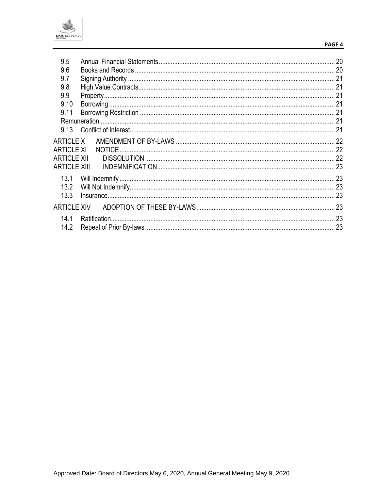

#### PAGE 4

| 9.5                 |  |
|---------------------|--|
| 9.6                 |  |
| 9.7                 |  |
| 9.8                 |  |
| 9.9                 |  |
| 9.10                |  |
| 9.11                |  |
|                     |  |
| 9.13                |  |
| <b>ARTICLE X</b>    |  |
| <b>ARTICLE XI</b>   |  |
| <b>ARTICLE XII</b>  |  |
| <b>ARTICLE XIII</b> |  |
| 13.1                |  |
| 13.2                |  |
| 13.3                |  |
| <b>ARTICLE XIV</b>  |  |
| 14.1                |  |
| 14.2                |  |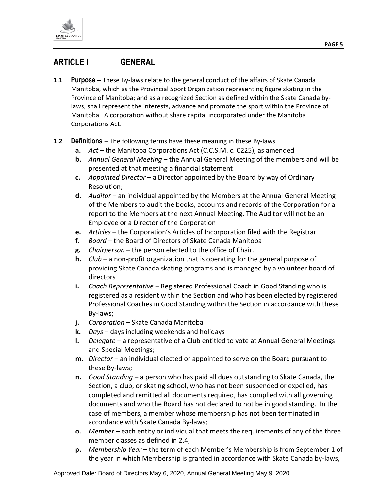

# <span id="page-4-0"></span>**ARTICLE I GENERAL**

- <span id="page-4-1"></span>**1.1 Purpose –** These By-laws relate to the general conduct of the affairs of Skate Canada Manitoba, which as the Provincial Sport Organization representing figure skating in the Province of Manitoba; and as a recognized Section as defined within the Skate Canada bylaws, shall represent the interests, advance and promote the sport within the Province of Manitoba. A corporation without share capital incorporated under the Manitoba Corporations Act.
- <span id="page-4-2"></span>**1.2 Definitions** – The following terms have these meaning in these By-laws
	- **a.** *Act* the Manitoba Corporations Act (C.C.S.M. c. C225), as amended
	- **b.** *Annual General Meeting*  the Annual General Meeting of the members and will be presented at that meeting a financial statement
	- **c.** *Appointed Director*  a Director appointed by the Board by way of Ordinary Resolution;
	- **d.** *Auditor* an individual appointed by the Members at the Annual General Meeting of the Members to audit the books, accounts and records of the Corporation for a report to the Members at the next Annual Meeting. The Auditor will not be an Employee or a Director of the Corporation
	- **e.** *Articles*  the Corporation's Articles of Incorporation filed with the Registrar
	- **f.** *Board*  the Board of Directors of Skate Canada Manitoba
	- **g.** *Chairperson* the person elected to the office of Chair.
	- **h.** *Club*  a non-profit organization that is operating for the general purpose of providing Skate Canada skating programs and is managed by a volunteer board of directors
	- **i.** *Coach Representative*  Registered Professional Coach in Good Standing who is registered as a resident within the Section and who has been elected by registered Professional Coaches in Good Standing within the Section in accordance with these By-laws;
	- **j.** *Corporation* Skate Canada Manitoba
	- **k.** *Days* days including weekends and holidays
	- **l.** *Delegate*  a representative of a Club entitled to vote at Annual General Meetings and Special Meetings;
	- **m.** *Director* an individual elected or appointed to serve on the Board pursuant to these By-laws;
	- **n.** *Good Standing*  a person who has paid all dues outstanding to Skate Canada, the Section, a club, or skating school, who has not been suspended or expelled, has completed and remitted all documents required, has complied with all governing documents and who the Board has not declared to not be in good standing. In the case of members, a member whose membership has not been terminated in accordance with Skate Canada By-laws;
	- **o.** *Member* each entity or individual that meets the requirements of any of the three member classes as defined in 2.4;
	- **p.** *Membership Year*  the term of each Member's Membership is from September 1 of the year in which Membership is granted in accordance with Skate Canada by-laws,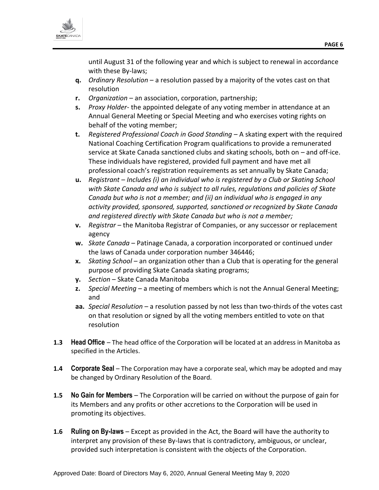

until August 31 of the following year and which is subject to renewal in accordance with these By-laws;

- **q.** *Ordinary Resolution* a resolution passed by a majority of the votes cast on that resolution
- **r.** *Organization*  an association, corporation, partnership;
- **s.** *Proxy Holder* the appointed delegate of any voting member in attendance at an Annual General Meeting or Special Meeting and who exercises voting rights on behalf of the voting member;
- **t.** *Registered Professional Coach in Good Standing*  A skating expert with the required National Coaching Certification Program qualifications to provide a remunerated service at Skate Canada sanctioned clubs and skating schools, both on – and off-ice. These individuals have registered, provided full payment and have met all professional coach's registration requirements as set annually by Skate Canada;
- **u.** *Registrant – Includes (i) an individual who is registered by a Club or Skating School with Skate Canada and who is subject to all rules, regulations and policies of Skate Canada but who is not a member; and (ii) an individual who is engaged in any activity provided, sponsored, supported, sanctioned or recognized by Skate Canada and registered directly with Skate Canada but who is not a member;*
- **v.** *Registrar* the Manitoba Registrar of Companies, or any successor or replacement agency
- **w.** *Skate Canada*  Patinage Canada, a corporation incorporated or continued under the laws of Canada under corporation number 346446;
- **x.** *Skating School*  an organization other than a Club that is operating for the general purpose of providing Skate Canada skating programs;
- **y.** *Section*  Skate Canada Manitoba
- **z.** *Special Meeting*  a meeting of members which is not the Annual General Meeting; and
- **aa.** *Special Resolution* a resolution passed by not less than two-thirds of the votes cast on that resolution or signed by all the voting members entitled to vote on that resolution
- <span id="page-5-0"></span>**1.3 Head Office** – The head office of the Corporation will be located at an address in Manitoba as specified in the Articles.
- <span id="page-5-1"></span>**1.4 Corporate Seal** – The Corporation may have a corporate seal, which may be adopted and may be changed by Ordinary Resolution of the Board.
- <span id="page-5-2"></span>**1.5 No Gain for Members** – The Corporation will be carried on without the purpose of gain for its Members and any profits or other accretions to the Corporation will be used in promoting its objectives.
- <span id="page-5-3"></span>**1.6 Ruling on By-laws** – Except as provided in the Act, the Board will have the authority to interpret any provision of these By-laws that is contradictory, ambiguous, or unclear, provided such interpretation is consistent with the objects of the Corporation.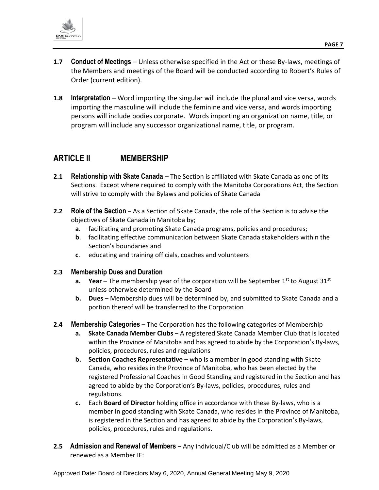

- <span id="page-6-0"></span>**1.7 Conduct of Meetings** – Unless otherwise specified in the Act or these By-laws, meetings of the Members and meetings of the Board will be conducted according to Robert's Rules of Order (current edition).
- <span id="page-6-1"></span>**1.8 Interpretation** – Word importing the singular will include the plural and vice versa, words importing the masculine will include the feminine and vice versa, and words importing persons will include bodies corporate. Words importing an organization name, title, or program will include any successor organizational name, title, or program.

# <span id="page-6-2"></span>**ARTICLE II MEMBERSHIP**

- **2.1 Relationship with Skate Canada** The Section is affiliated with Skate Canada as one of its Sections. Except where required to comply with the Manitoba Corporations Act, the Section will strive to comply with the Bylaws and policies of Skate Canada
- **2.2 Role of the Section** As a Section of Skate Canada, the role of the Section is to advise the objectives of Skate Canada in Manitoba by;
	- **a**. facilitating and promoting Skate Canada programs, policies and procedures;
	- **b**. facilitating effective communication between Skate Canada stakeholders within the Section's boundaries and
	- **c**. educating and training officials, coaches and volunteers

#### **2.3 Membership Dues and Duration**

- **a. Year** The membership year of the corporation will be September  $1^{st}$  to August  $31^{st}$ unless otherwise determined by the Board
- **b. Dues** Membership dues will be determined by, and submitted to Skate Canada and a portion thereof will be transferred to the Corporation
- **2.4 Membership Categories** The Corporation has the following categories of Membership
	- **a. Skate Canada Member Clubs** A registered Skate Canada Member Club that is located within the Province of Manitoba and has agreed to abide by the Corporation's By-laws, policies, procedures, rules and regulations
	- **b. Section Coaches Representative** who is a member in good standing with Skate Canada, who resides in the Province of Manitoba, who has been elected by the registered Professional Coaches in Good Standing and registered in the Section and has agreed to abide by the Corporation's By-laws, policies, procedures, rules and regulations.
	- **c.** Each **Board of Director** holding office in accordance with these By-laws, who is a member in good standing with Skate Canada, who resides in the Province of Manitoba, is registered in the Section and has agreed to abide by the Corporation's By-laws, policies, procedures, rules and regulations.
- **2.5 Admission and Renewal of Members** Any individual/Club will be admitted as a Member or renewed as a Member IF: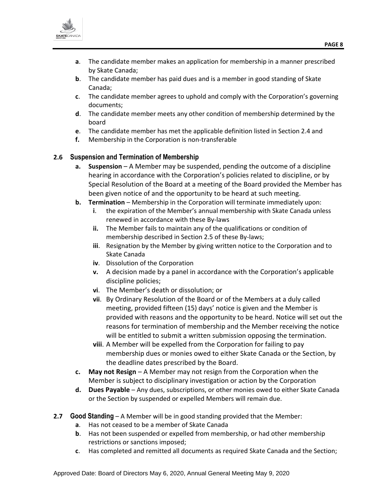

- **a**. The candidate member makes an application for membership in a manner prescribed by Skate Canada;
- **b**. The candidate member has paid dues and is a member in good standing of Skate Canada;
- **c**. The candidate member agrees to uphold and comply with the Corporation's governing documents;
- **d**. The candidate member meets any other condition of membership determined by the board
- **e**. The candidate member has met the applicable definition listed in Section 2.4 and
- **f.** Membership in the Corporation is non-transferable

#### **2.6 Suspension and Termination of Membership**

- **a. Suspension** A Member may be suspended, pending the outcome of a discipline hearing in accordance with the Corporation's policies related to discipline, or by Special Resolution of the Board at a meeting of the Board provided the Member has been given notice of and the opportunity to be heard at such meeting.
- **b. Termination** Membership in the Corporation will terminate immediately upon:
	- **i**. the expiration of the Member's annual membership with Skate Canada unless renewed in accordance with these By-laws
	- **ii.** The Member fails to maintain any of the qualifications or condition of membership described in Section 2.5 of these By-laws;
	- **iii**. Resignation by the Member by giving written notice to the Corporation and to Skate Canada
	- **iv**. Dissolution of the Corporation
	- **v.** A decision made by a panel in accordance with the Corporation's applicable discipline policies;
	- **vi**. The Member's death or dissolution; or
	- **vii**. By Ordinary Resolution of the Board or of the Members at a duly called meeting, provided fifteen (15) days' notice is given and the Member is provided with reasons and the opportunity to be heard. Notice will set out the reasons for termination of membership and the Member receiving the notice will be entitled to submit a written submission opposing the termination.
	- **viii**. A Member will be expelled from the Corporation for failing to pay membership dues or monies owed to either Skate Canada or the Section, by the deadline dates prescribed by the Board.
- **c. May not Resign** A Member may not resign from the Corporation when the Member is subject to disciplinary investigation or action by the Corporation
- **d. Dues Payable** Any dues, subscriptions, or other monies owed to either Skate Canada or the Section by suspended or expelled Members will remain due.
- **2.7 Good Standing** A Member will be in good standing provided that the Member:
	- **a**. Has not ceased to be a member of Skate Canada
	- **b**. Has not been suspended or expelled from membership, or had other membership restrictions or sanctions imposed;
	- **c**. Has completed and remitted all documents as required Skate Canada and the Section;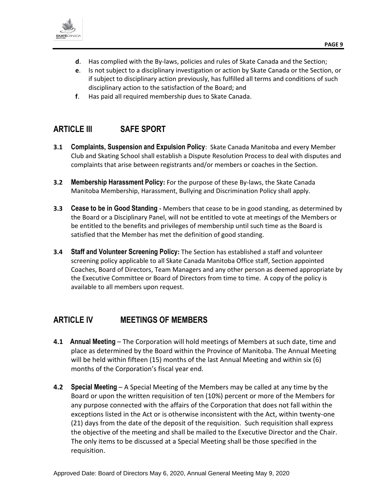

- **d**. Has complied with the By-laws, policies and rules of Skate Canada and the Section;
- **e**. Is not subject to a disciplinary investigation or action by Skate Canada or the Section, or if subject to disciplinary action previously, has fulfilled all terms and conditions of such disciplinary action to the satisfaction of the Board; and
- **f**. Has paid all required membership dues to Skate Canada.

# <span id="page-8-0"></span>**ARTICLE III SAFE SPORT**

- **3.1 Complaints, Suspension and Expulsion Policy**: Skate Canada Manitoba and every Member Club and Skating School shall establish a Dispute Resolution Process to deal with disputes and complaints that arise between registrants and/or members or coaches in the Section.
- **3.2 Membership Harassment Policy:** For the purpose of these By-laws, the Skate Canada Manitoba Membership, Harassment, Bullying and Discrimination Policy shall apply.
- **3.3 Cease to be in Good Standing -** Members that cease to be in good standing, as determined by the Board or a Disciplinary Panel, will not be entitled to vote at meetings of the Members or be entitled to the benefits and privileges of membership until such time as the Board is satisfied that the Member has met the definition of good standing.
- **3.4 Staff and Volunteer Screening Policy:** The Section has established a staff and volunteer screening policy applicable to all Skate Canada Manitoba Office staff, Section appointed Coaches, Board of Directors, Team Managers and any other person as deemed appropriate by the Executive Committee or Board of Directors from time to time. A copy of the policy is available to all members upon request.

## <span id="page-8-1"></span>**ARTICLE IV MEETINGS OF MEMBERS**

- <span id="page-8-2"></span>**4.1 Annual Meeting** – The Corporation will hold meetings of Members at such date, time and place as determined by the Board within the Province of Manitoba. The Annual Meeting will be held within fifteen (15) months of the last Annual Meeting and within six (6) months of the Corporation's fiscal year end.
- <span id="page-8-3"></span>**4.2 Special Meeting** – A Special Meeting of the Members may be called at any time by the Board or upon the written requisition of ten (10%) percent or more of the Members for any purpose connected with the affairs of the Corporation that does not fall within the exceptions listed in the Act or is otherwise inconsistent with the Act, within twenty-one (21) days from the date of the deposit of the requisition. Such requisition shall express the objective of the meeting and shall be mailed to the Executive Director and the Chair. The only items to be discussed at a Special Meeting shall be those specified in the requisition.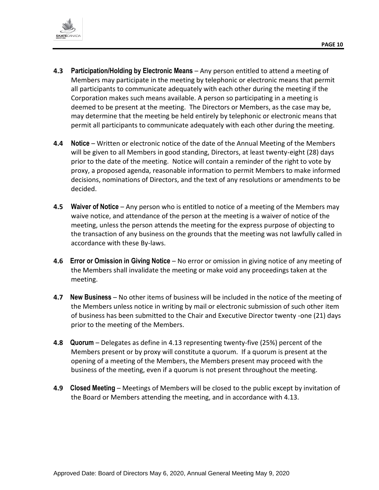

- <span id="page-9-0"></span>**4.3 Participation/Holding by Electronic Means** – Any person entitled to attend a meeting of Members may participate in the meeting by telephonic or electronic means that permit all participants to communicate adequately with each other during the meeting if the Corporation makes such means available. A person so participating in a meeting is deemed to be present at the meeting. The Directors or Members, as the case may be, may determine that the meeting be held entirely by telephonic or electronic means that permit all participants to communicate adequately with each other during the meeting.
- <span id="page-9-1"></span>**4.4 Notice** – Written or electronic notice of the date of the Annual Meeting of the Members will be given to all Members in good standing, Directors, at least twenty-eight (28) days prior to the date of the meeting. Notice will contain a reminder of the right to vote by proxy, a proposed agenda, reasonable information to permit Members to make informed decisions, nominations of Directors, and the text of any resolutions or amendments to be decided.
- <span id="page-9-2"></span>**4.5 Waiver of Notice** – Any person who is entitled to notice of a meeting of the Members may waive notice, and attendance of the person at the meeting is a waiver of notice of the meeting, unless the person attends the meeting for the express purpose of objecting to the transaction of any business on the grounds that the meeting was not lawfully called in accordance with these By-laws.
- <span id="page-9-3"></span>**4.6 Error or Omission in Giving Notice** – No error or omission in giving notice of any meeting of the Members shall invalidate the meeting or make void any proceedings taken at the meeting.
- <span id="page-9-4"></span>**4.7 New Business** – No other items of business will be included in the notice of the meeting of the Members unless notice in writing by mail or electronic submission of such other item of business has been submitted to the Chair and Executive Director twenty -one (21) days prior to the meeting of the Members.
- <span id="page-9-5"></span>**4.8 Quorum** – Delegates as define in 4.13 representing twenty-five (25%) percent of the Members present or by proxy will constitute a quorum. If a quorum is present at the opening of a meeting of the Members, the Members present may proceed with the business of the meeting, even if a quorum is not present throughout the meeting.
- <span id="page-9-6"></span>**4.9 Closed Meeting** – Meetings of Members will be closed to the public except by invitation of the Board or Members attending the meeting, and in accordance with 4.13.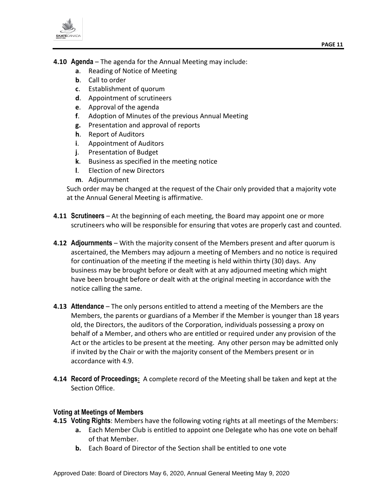

- <span id="page-10-0"></span>**4.10 Agenda** – The agenda for the Annual Meeting may include:
	- **a**. Reading of Notice of Meeting
	- **b**. Call to order
	- **c**. Establishment of quorum
	- **d**. Appointment of scrutineers
	- **e**. Approval of the agenda
	- **f**. Adoption of Minutes of the previous Annual Meeting
	- **g.** Presentation and approval of reports
	- **h**. Report of Auditors
	- **i**. Appointment of Auditors
	- **j**. Presentation of Budget
	- **k**. Business as specified in the meeting notice
	- **l**. Election of new Directors
	- **m**. Adjournment

Such order may be changed at the request of the Chair only provided that a majority vote at the Annual General Meeting is affirmative.

- <span id="page-10-1"></span>**4.11 Scrutineers** – At the beginning of each meeting, the Board may appoint one or more scrutineers who will be responsible for ensuring that votes are properly cast and counted.
- <span id="page-10-2"></span>**4.12 Adjournments** – With the majority consent of the Members present and after quorum is ascertained, the Members may adjourn a meeting of Members and no notice is required for continuation of the meeting if the meeting is held within thirty (30) days. Any business may be brought before or dealt with at any adjourned meeting which might have been brought before or dealt with at the original meeting in accordance with the notice calling the same.
- <span id="page-10-3"></span>**4.13 Attendance** – The only persons entitled to attend a meeting of the Members are the Members, the parents or guardians of a Member if the Member is younger than 18 years old, the Directors, the auditors of the Corporation, individuals possessing a proxy on behalf of a Member, and others who are entitled or required under any provision of the Act or the articles to be present at the meeting. Any other person may be admitted only if invited by the Chair or with the majority consent of the Members present or in accordance with 4.9.
- <span id="page-10-4"></span>**4.14 Record of Proceedings:** A complete record of the Meeting shall be taken and kept at the Section Office.

#### <span id="page-10-5"></span>**Voting at Meetings of Members**

- <span id="page-10-6"></span>**4.15 Voting Rights**: Members have the following voting rights at all meetings of the Members:
	- **a.** Each Member Club is entitled to appoint one Delegate who has one vote on behalf of that Member.
	- **b.** Each Board of Director of the Section shall be entitled to one vote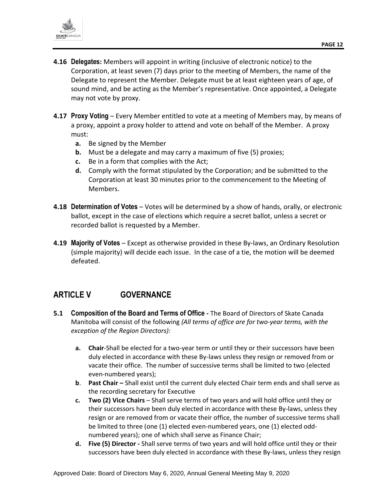

- <span id="page-11-0"></span>**4.16 Delegates:** Members will appoint in writing (inclusive of electronic notice) to the Corporation, at least seven (7) days prior to the meeting of Members, the name of the Delegate to represent the Member. Delegate must be at least eighteen years of age, of sound mind, and be acting as the Member's representative. Once appointed, a Delegate may not vote by proxy.
- <span id="page-11-1"></span>**4.17 Proxy Voting** – Every Member entitled to vote at a meeting of Members may, by means of a proxy, appoint a proxy holder to attend and vote on behalf of the Member. A proxy must:
	- **a.** Be signed by the Member
	- **b.** Must be a delegate and may carry a maximum of five (5) proxies;
	- **c.** Be in a form that complies with the Act;
	- **d.** Comply with the format stipulated by the Corporation; and be submitted to the Corporation at least 30 minutes prior to the commencement to the Meeting of Members.
- <span id="page-11-2"></span>**4.18 Determination of Votes** – Votes will be determined by a show of hands, orally, or electronic ballot, except in the case of elections which require a secret ballot, unless a secret or recorded ballot is requested by a Member.
- <span id="page-11-3"></span>**4.19 Majority of Votes** – Except as otherwise provided in these By-laws, an Ordinary Resolution (simple majority) will decide each issue. In the case of a tie, the motion will be deemed defeated.

## <span id="page-11-4"></span>**ARTICLE V GOVERNANCE**

- **5.1 Composition of the Board and Terms of Office -** The Board of Directors of Skate Canada Manitoba will consist of the following *(All terms of office are for two-year terms, with the exception of the Region Directors):*
	- **a. Chair**-Shall be elected for a two-year term or until they or their successors have been duly elected in accordance with these By-laws unless they resign or removed from or vacate their office. The number of successive terms shall be limited to two (elected even-numbered years);
	- **b**. **Past Chair –** Shall exist until the current duly elected Chair term ends and shall serve as the recording secretary for Executive
	- **c. Two (2) Vice Chairs** Shall serve terms of two years and will hold office until they or their successors have been duly elected in accordance with these By-laws, unless they resign or are removed from or vacate their office, the number of successive terms shall be limited to three (one (1) elected even-numbered years, one (1) elected oddnumbered years); one of which shall serve as Finance Chair;
	- **d. Five (5) Director -** Shall serve terms of two years and will hold office until they or their successors have been duly elected in accordance with these By-laws, unless they resign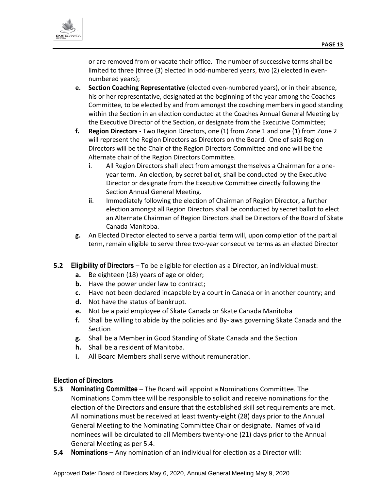

or are removed from or vacate their office. The number of successive terms shall be limited to three (three (3) elected in odd-numbered years, two (2) elected in evennumbered years);

- **e. Section Coaching Representative** (elected even-numbered years), or in their absence, his or her representative, designated at the beginning of the year among the Coaches Committee, to be elected by and from amongst the coaching members in good standing within the Section in an election conducted at the Coaches Annual General Meeting by the Executive Director of the Section, or designate from the Executive Committee;
- **f. Region Directors** Two Region Directors, one (1) from Zone 1 and one (1) from Zone 2 will represent the Region Directors as Directors on the Board. One of said Region Directors will be the Chair of the Region Directors Committee and one will be the Alternate chair of the Region Directors Committee.
	- **i**. All Region Directors shall elect from amongst themselves a Chairman for a oneyear term. An election, by secret ballot, shall be conducted by the Executive Director or designate from the Executive Committee directly following the Section Annual General Meeting.
	- **ii**. Immediately following the election of Chairman of Region Director, a further election amongst all Region Directors shall be conducted by secret ballot to elect an Alternate Chairman of Region Directors shall be Directors of the Board of Skate Canada Manitoba.
- **g.** An Elected Director elected to serve a partial term will, upon completion of the partial term, remain eligible to serve three two-year consecutive terms as an elected Director
- <span id="page-12-0"></span>**5.2 Eligibility of Directors** – To be eligible for election as a Director, an individual must:
	- **a.** Be eighteen (18) years of age or older;
	- **b.** Have the power under law to contract;
	- **c.** Have not been declared incapable by a court in Canada or in another country; and
	- **d.** Not have the status of bankrupt.
	- **e.** Not be a paid employee of Skate Canada or Skate Canada Manitoba
	- **f.** Shall be willing to abide by the policies and By-laws governing Skate Canada and the Section
	- **g.** Shall be a Member in Good Standing of Skate Canada and the Section
	- **h.** Shall be a resident of Manitoba.
	- **i.** All Board Members shall serve without remuneration.

#### <span id="page-12-1"></span>**Election of Directors**

- **5.3 Nominating Committee** The Board will appoint a Nominations Committee. The Nominations Committee will be responsible to solicit and receive nominations for the election of the Directors and ensure that the established skill set requirements are met. All nominations must be received at least twenty-eight (28) days prior to the Annual General Meeting to the Nominating Committee Chair or designate. Names of valid nominees will be circulated to all Members twenty-one (21) days prior to the Annual General Meeting as per 5.4.
- <span id="page-12-2"></span>**5.4 Nominations** – Any nomination of an individual for election as a Director will: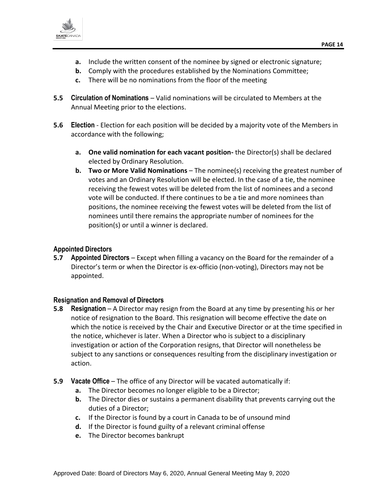

- **a.** Include the written consent of the nominee by signed or electronic signature;
- **b.** Comply with the procedures established by the Nominations Committee;
- **c.** There will be no nominations from the floor of the meeting
- <span id="page-13-0"></span>**5.5 Circulation of Nominations** – Valid nominations will be circulated to Members at the Annual Meeting prior to the elections.
- <span id="page-13-1"></span>**5.6 Election** - Election for each position will be decided by a majority vote of the Members in accordance with the following;
	- **a. One valid nomination for each vacant position-** the Director(s) shall be declared elected by Ordinary Resolution.
	- **b. Two or More Valid Nominations** The nominee(s) receiving the greatest number of votes and an Ordinary Resolution will be elected. In the case of a tie, the nominee receiving the fewest votes will be deleted from the list of nominees and a second vote will be conducted. If there continues to be a tie and more nominees than positions, the nominee receiving the fewest votes will be deleted from the list of nominees until there remains the appropriate number of nominees for the position(s) or until a winner is declared.

#### <span id="page-13-2"></span>**Appointed Directors**

<span id="page-13-3"></span>**5.7 Appointed Directors** – Except when filling a vacancy on the Board for the remainder of a Director's term or when the Director is ex-officio (non-voting), Directors may not be appointed.

#### <span id="page-13-4"></span>**Resignation and Removal of Directors**

- <span id="page-13-5"></span>**5.8 Resignation** – A Director may resign from the Board at any time by presenting his or her notice of resignation to the Board. This resignation will become effective the date on which the notice is received by the Chair and Executive Director or at the time specified in the notice, whichever is later. When a Director who is subject to a disciplinary investigation or action of the Corporation resigns, that Director will nonetheless be subject to any sanctions or consequences resulting from the disciplinary investigation or action.
- <span id="page-13-6"></span>**5.9 Vacate Office** – The office of any Director will be vacated automatically if:
	- **a.** The Director becomes no longer eligible to be a Director;
	- **b.** The Director dies or sustains a permanent disability that prevents carrying out the duties of a Director;
	- **c.** If the Director is found by a court in Canada to be of unsound mind
	- **d.** If the Director is found guilty of a relevant criminal offense
	- **e.** The Director becomes bankrupt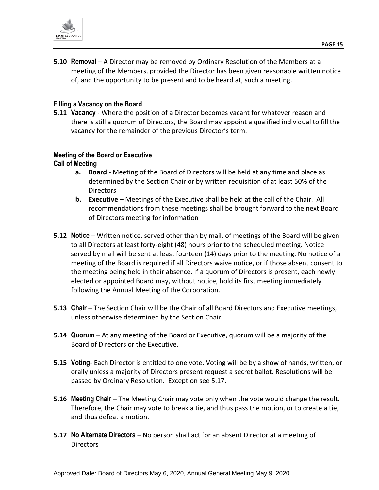

<span id="page-14-0"></span>**5.10 Removal** – A Director may be removed by Ordinary Resolution of the Members at a meeting of the Members, provided the Director has been given reasonable written notice of, and the opportunity to be present and to be heard at, such a meeting.

#### <span id="page-14-1"></span>**Filling a Vacancy on the Board**

<span id="page-14-2"></span>**5.11 Vacancy** - Where the position of a Director becomes vacant for whatever reason and there is still a quorum of Directors, the Board may appoint a qualified individual to fill the vacancy for the remainder of the previous Director's term.

#### <span id="page-14-3"></span>**Meeting of the Board or Executive**

#### <span id="page-14-4"></span>**Call of Meeting**

- **a. Board** Meeting of the Board of Directors will be held at any time and place as determined by the Section Chair or by written requisition of at least 50% of the **Directors**
- **b. Executive** Meetings of the Executive shall be held at the call of the Chair. All recommendations from these meetings shall be brought forward to the next Board of Directors meeting for information
- <span id="page-14-5"></span>**5.12 Notice** – Written notice, served other than by mail, of meetings of the Board will be given to all Directors at least forty-eight (48) hours prior to the scheduled meeting. Notice served by mail will be sent at least fourteen (14) days prior to the meeting. No notice of a meeting of the Board is required if all Directors waive notice, or if those absent consent to the meeting being held in their absence. If a quorum of Directors is present, each newly elected or appointed Board may, without notice, hold its first meeting immediately following the Annual Meeting of the Corporation.
- <span id="page-14-6"></span>**5.13 Chair** – The Section Chair will be the Chair of all Board Directors and Executive meetings, unless otherwise determined by the Section Chair.
- <span id="page-14-7"></span>**5.14 Quorum** – At any meeting of the Board or Executive, quorum will be a majority of the Board of Directors or the Executive.
- <span id="page-14-8"></span>**5.15 Voting**- Each Director is entitled to one vote. Voting will be by a show of hands, written, or orally unless a majority of Directors present request a secret ballot. Resolutions will be passed by Ordinary Resolution. Exception see 5.17.
- <span id="page-14-9"></span>**5.16 Meeting Chair** – The Meeting Chair may vote only when the vote would change the result. Therefore, the Chair may vote to break a tie, and thus pass the motion, or to create a tie, and thus defeat a motion.
- <span id="page-14-10"></span>**5.17 No Alternate Directors** – No person shall act for an absent Director at a meeting of **Directors**

Approved Date: Board of Directors May 6, 2020, Annual General Meeting May 9, 2020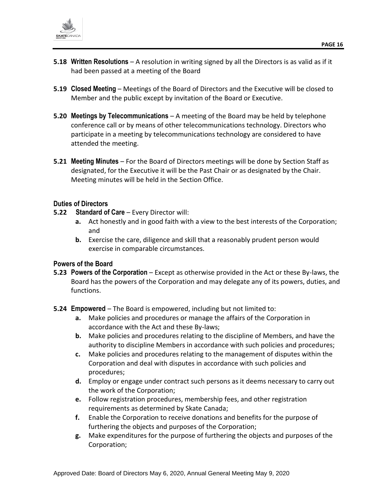

- <span id="page-15-0"></span>**5.18 Written Resolutions** – A resolution in writing signed by all the Directors is as valid as if it had been passed at a meeting of the Board
- <span id="page-15-1"></span>**5.19 Closed Meeting** – Meetings of the Board of Directors and the Executive will be closed to Member and the public except by invitation of the Board or Executive.
- <span id="page-15-2"></span>**5.20 Meetings by Telecommunications** – A meeting of the Board may be held by telephone conference call or by means of other telecommunications technology. Directors who participate in a meeting by telecommunications technology are considered to have attended the meeting.
- <span id="page-15-3"></span>**5.21 Meeting Minutes** – For the Board of Directors meetings will be done by Section Staff as designated, for the Executive it will be the Past Chair or as designated by the Chair. Meeting minutes will be held in the Section Office.

#### <span id="page-15-4"></span>**Duties of Directors**

- <span id="page-15-5"></span>**5.22 Standard of Care** – Every Director will:
	- **a.** Act honestly and in good faith with a view to the best interests of the Corporation; and
	- **b.** Exercise the care, diligence and skill that a reasonably prudent person would exercise in comparable circumstances.

#### <span id="page-15-6"></span>**Powers of the Board**

- <span id="page-15-7"></span>**5.23 Powers of the Corporation** – Except as otherwise provided in the Act or these By-laws, the Board has the powers of the Corporation and may delegate any of its powers, duties, and functions.
- <span id="page-15-8"></span>**5.24 Empowered** – The Board is empowered, including but not limited to:
	- **a.** Make policies and procedures or manage the affairs of the Corporation in accordance with the Act and these By-laws;
	- **b.** Make policies and procedures relating to the discipline of Members, and have the authority to discipline Members in accordance with such policies and procedures;
	- **c.** Make policies and procedures relating to the management of disputes within the Corporation and deal with disputes in accordance with such policies and procedures;
	- **d.** Employ or engage under contract such persons as it deems necessary to carry out the work of the Corporation;
	- **e.** Follow registration procedures, membership fees, and other registration requirements as determined by Skate Canada;
	- **f.** Enable the Corporation to receive donations and benefits for the purpose of furthering the objects and purposes of the Corporation;
	- **g.** Make expenditures for the purpose of furthering the objects and purposes of the Corporation;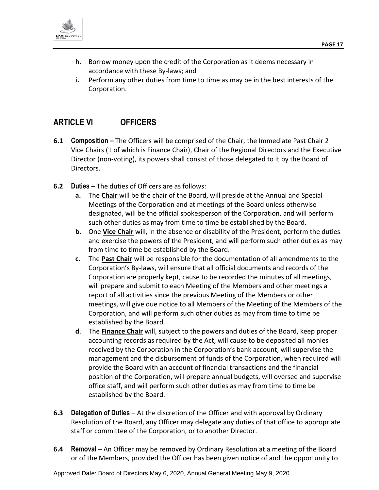

- **h.** Borrow money upon the credit of the Corporation as it deems necessary in accordance with these By-laws; and
- **i.** Perform any other duties from time to time as may be in the best interests of the Corporation.

## <span id="page-16-0"></span>**ARTICLE VI OFFICERS**

- **6.1 Composition –** The Officers will be comprised of the Chair, the Immediate Past Chair 2 Vice Chairs (1 of which is Finance Chair), Chair of the Regional Directors and the Executive Director (non-voting), its powers shall consist of those delegated to it by the Board of Directors.
- <span id="page-16-1"></span>**6.2 Duties** – The duties of Officers are as follows:
	- **a.** The **Chair** will be the chair of the Board, will preside at the Annual and Special Meetings of the Corporation and at meetings of the Board unless otherwise designated, will be the official spokesperson of the Corporation, and will perform such other duties as may from time to time be established by the Board.
	- **b.** One **Vice Chair** will, in the absence or disability of the President, perform the duties and exercise the powers of the President, and will perform such other duties as may from time to time be established by the Board.
	- **c.** The **Past Chair** will be responsible for the documentation of all amendments to the Corporation's By-laws, will ensure that all official documents and records of the Corporation are properly kept, cause to be recorded the minutes of all meetings, will prepare and submit to each Meeting of the Members and other meetings a report of all activities since the previous Meeting of the Members or other meetings, will give due notice to all Members of the Meeting of the Members of the Corporation, and will perform such other duties as may from time to time be established by the Board.
	- **d**. The **Finance Chair** will, subject to the powers and duties of the Board, keep proper accounting records as required by the Act, will cause to be deposited all monies received by the Corporation in the Corporation's bank account, will supervise the management and the disbursement of funds of the Corporation, when required will provide the Board with an account of financial transactions and the financial position of the Corporation, will prepare annual budgets, will oversee and supervise office staff, and will perform such other duties as may from time to time be established by the Board.
- <span id="page-16-2"></span>**6.3 Delegation of Duties** – At the discretion of the Officer and with approval by Ordinary Resolution of the Board, any Officer may delegate any duties of that office to appropriate staff or committee of the Corporation, or to another Director.
- <span id="page-16-3"></span>**6.4 Removal** – An Officer may be removed by Ordinary Resolution at a meeting of the Board or of the Members, provided the Officer has been given notice of and the opportunity to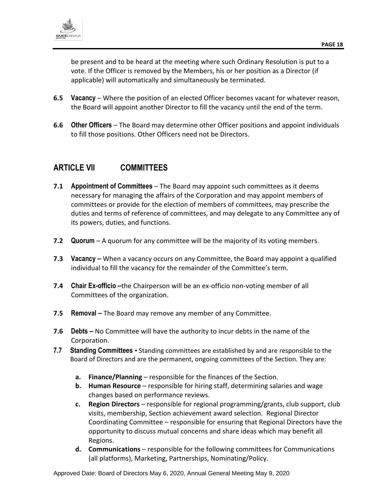

be present and to be heard at the meeting where such Ordinary Resolution is put to a vote. If the Officer is removed by the Members, his or her position as a Director (if applicable) will automatically and simultaneously be terminated.

- <span id="page-17-0"></span>**6.5 Vacancy** – Where the position of an elected Officer becomes vacant for whatever reason, the Board will appoint another Director to fill the vacancy until the end of the term.
- <span id="page-17-1"></span>**6.6 Other Officers** – The Board may determine other Officer positions and appoint individuals to fill those positions. Other Officers need not be Directors.

# <span id="page-17-2"></span>**ARTICLE VII COMMITTEES**

- <span id="page-17-3"></span>**7.1 Appointment of Committees** – The Board may appoint such committees as it deems necessary for managing the affairs of the Corporation and may appoint members of committees or provide for the election of members of committees, may prescribe the duties and terms of reference of committees, and may delegate to any Committee any of its powers, duties, and functions.
- <span id="page-17-4"></span>**7.2 Quorum** – A quorum for any committee will be the majority of its voting members.
- <span id="page-17-5"></span>**7.3 Vacancy –** When a vacancy occurs on any Committee, the Board may appoint a qualified individual to fill the vacancy for the remainder of the Committee's term.
- <span id="page-17-6"></span>**7.4 Chair Ex-officio –**the Chairperson will be an ex-officio non-voting member of all Committees of the organization.
- <span id="page-17-7"></span>**7.5 Removal –** The Board may remove any member of any Committee.
- <span id="page-17-8"></span>**7.6 Debts –** No Committee will have the authority to incur debts in the name of the Corporation.
- <span id="page-17-9"></span>**7.7 Standing Committees -** Standing committees are established by and are responsible to the Board of Directors and are the permanent, ongoing committees of the Section. They are:
	- **a. Finance/Planning** responsible for the finances of the Section.
	- **b. Human Resource** responsible for hiring staff, determining salaries and wage changes based on performance reviews.
	- **c. Region Directors** responsible for regional programming/grants, club support, club visits, membership, Section achievement award selection. Regional Director Coordinating Committee – responsible for ensuring that Regional Directors have the opportunity to discuss mutual concerns and share ideas which may benefit all Regions.
	- **d. Communications** responsible for the following committees for Communications (all platforms), Marketing, Partnerships, Nominating/Policy.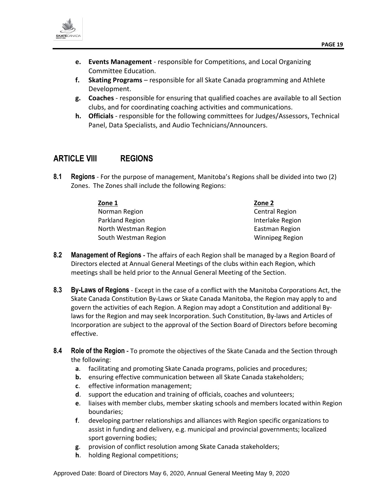

- **e. Events Management** responsible for Competitions, and Local Organizing Committee Education.
- **f. Skating Programs** responsible for all Skate Canada programming and Athlete Development.
- **g. Coaches** responsible for ensuring that qualified coaches are available to all Section clubs, and for coordinating coaching activities and communications.
- **h. Officials** responsible for the following committees for Judges/Assessors, Technical Panel, Data Specialists, and Audio Technicians/Announcers.

## <span id="page-18-0"></span>**ARTICLE VIII REGIONS**

<span id="page-18-1"></span>**8.1 Regions** - For the purpose of management, Manitoba's Regions shall be divided into two (2) Zones. The Zones shall include the following Regions:

| Zone 1               | Zone 2                 |
|----------------------|------------------------|
| Norman Region        | <b>Central Region</b>  |
| Parkland Region      | Interlake Region       |
| North Westman Region | Eastman Region         |
| South Westman Region | <b>Winnipeg Region</b> |

- <span id="page-18-2"></span>**8.2 Management of Regions -** The affairs of each Region shall be managed by a Region Board of Directors elected at Annual General Meetings of the clubs within each Region, which meetings shall be held prior to the Annual General Meeting of the Section.
- <span id="page-18-3"></span>**8.3 By-Laws of Regions** - Except in the case of a conflict with the Manitoba Corporations Act, the Skate Canada Constitution By-Laws or Skate Canada Manitoba, the Region may apply to and govern the activities of each Region. A Region may adopt a Constitution and additional Bylaws for the Region and may seek Incorporation. Such Constitution, By-laws and Articles of Incorporation are subject to the approval of the Section Board of Directors before becoming effective.
- <span id="page-18-4"></span>**8.4 Role of the Region -** To promote the objectives of the Skate Canada and the Section through the following:
	- **a**. facilitating and promoting Skate Canada programs, policies and procedures;
	- **b.** ensuring effective communication between all Skate Canada stakeholders;
	- **c**. effective information management;
	- **d**. support the education and training of officials, coaches and volunteers;
	- **e**. liaises with member clubs, member skating schools and members located within Region boundaries;
	- **f**. developing partner relationships and alliances with Region specific organizations to assist in funding and delivery, e.g. municipal and provincial governments; localized sport governing bodies;
	- **g**. provision of conflict resolution among Skate Canada stakeholders;
	- **h**. holding Regional competitions;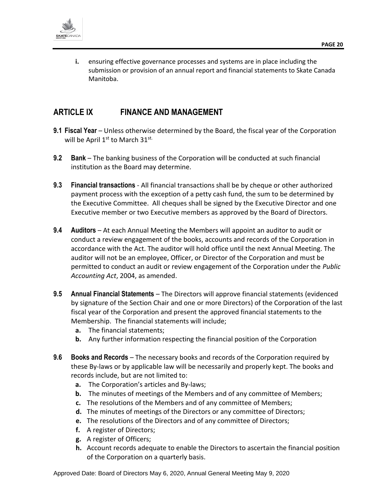

**i.** ensuring effective governance processes and systems are in place including the submission or provision of an annual report and financial statements to Skate Canada Manitoba.

## <span id="page-19-0"></span>**ARTICLE IX FINANCE AND MANAGEMENT**

- <span id="page-19-1"></span>**9.1 Fiscal Year** – Unless otherwise determined by the Board, the fiscal year of the Corporation will be April 1st to March 31st.
- <span id="page-19-2"></span>**9.2 Bank** – The banking business of the Corporation will be conducted at such financial institution as the Board may determine.
- <span id="page-19-3"></span>**9.3 Financial transactions** - All financial transactions shall be by cheque or other authorized payment process with the exception of a petty cash fund, the sum to be determined by the Executive Committee. All cheques shall be signed by the Executive Director and one Executive member or two Executive members as approved by the Board of Directors.
- <span id="page-19-4"></span>**9.4 Auditors** – At each Annual Meeting the Members will appoint an auditor to audit or conduct a review engagement of the books, accounts and records of the Corporation in accordance with the Act. The auditor will hold office until the next Annual Meeting. The auditor will not be an employee, Officer, or Director of the Corporation and must be permitted to conduct an audit or review engagement of the Corporation under the *Public Accounting Act*, 2004, as amended.
- <span id="page-19-5"></span>**9.5 Annual Financial Statements** – The Directors will approve financial statements (evidenced by signature of the Section Chair and one or more Directors) of the Corporation of the last fiscal year of the Corporation and present the approved financial statements to the Membership. The financial statements will include;
	- **a.** The financial statements;
	- **b.** Any further information respecting the financial position of the Corporation
- <span id="page-19-6"></span>**9.6 Books and Records** – The necessary books and records of the Corporation required by these By-laws or by applicable law will be necessarily and properly kept. The books and records include, but are not limited to:
	- **a.** The Corporation's articles and By-laws;
	- **b.** The minutes of meetings of the Members and of any committee of Members;
	- **c.** The resolutions of the Members and of any committee of Members;
	- **d.** The minutes of meetings of the Directors or any committee of Directors;
	- **e.** The resolutions of the Directors and of any committee of Directors;
	- **f.** A register of Directors;
	- **g.** A register of Officers;
	- **h.** Account records adequate to enable the Directors to ascertain the financial position of the Corporation on a quarterly basis.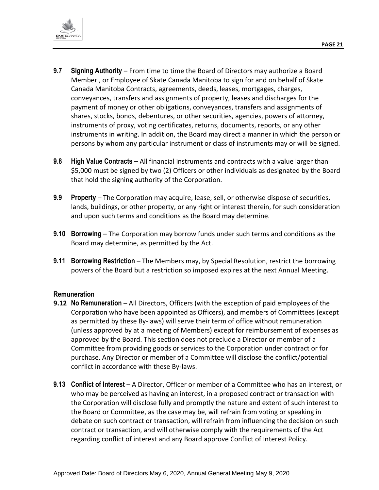

- <span id="page-20-0"></span>**9.7 Signing Authority** – From time to time the Board of Directors may authorize a Board Member , or Employee of Skate Canada Manitoba to sign for and on behalf of Skate Canada Manitoba Contracts, agreements, deeds, leases, mortgages, charges, conveyances, transfers and assignments of property, leases and discharges for the payment of money or other obligations, conveyances, transfers and assignments of shares, stocks, bonds, debentures, or other securities, agencies, powers of attorney, instruments of proxy, voting certificates, returns, documents, reports, or any other instruments in writing. In addition, the Board may direct a manner in which the person or persons by whom any particular instrument or class of instruments may or will be signed.
- <span id="page-20-1"></span>**9.8 High Value Contracts** – All financial instruments and contracts with a value larger than \$5,000 must be signed by two (2) Officers or other individuals as designated by the Board that hold the signing authority of the Corporation.
- <span id="page-20-2"></span>**9.9 Property** – The Corporation may acquire, lease, sell, or otherwise dispose of securities, lands, buildings, or other property, or any right or interest therein, for such consideration and upon such terms and conditions as the Board may determine.
- <span id="page-20-3"></span>**9.10 Borrowing** – The Corporation may borrow funds under such terms and conditions as the Board may determine, as permitted by the Act.
- <span id="page-20-4"></span>**9.11 Borrowing Restriction** – The Members may, by Special Resolution, restrict the borrowing powers of the Board but a restriction so imposed expires at the next Annual Meeting.

#### <span id="page-20-5"></span>**Remuneration**

- **9.12 No Remuneration** All Directors, Officers (with the exception of paid employees of the Corporation who have been appointed as Officers), and members of Committees (except as permitted by these By-laws) will serve their term of office without remuneration (unless approved by at a meeting of Members) except for reimbursement of expenses as approved by the Board. This section does not preclude a Director or member of a Committee from providing goods or services to the Corporation under contract or for purchase. Any Director or member of a Committee will disclose the conflict/potential conflict in accordance with these By-laws.
- <span id="page-20-6"></span>**9.13 Conflict of Interest** – A Director, Officer or member of a Committee who has an interest, or who may be perceived as having an interest, in a proposed contract or transaction with the Corporation will disclose fully and promptly the nature and extent of such interest to the Board or Committee, as the case may be, will refrain from voting or speaking in debate on such contract or transaction, will refrain from influencing the decision on such contract or transaction, and will otherwise comply with the requirements of the Act regarding conflict of interest and any Board approve Conflict of Interest Policy.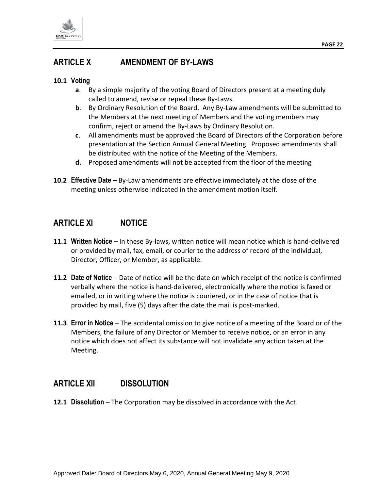

# <span id="page-21-0"></span>**ARTICLE X AMENDMENT OF BY-LAWS**

#### **10.1 Voting**

- **a**. By a simple majority of the voting Board of Directors present at a meeting duly called to amend, revise or repeal these By-Laws.
- **b**. By Ordinary Resolution of the Board. Any By-Law amendments will be submitted to the Members at the next meeting of Members and the voting members may confirm, reject or amend the By-Laws by Ordinary Resolution.
- **c**. All amendments must be approved the Board of Directors of the Corporation before presentation at the Section Annual General Meeting. Proposed amendments shall be distributed with the notice of the Meeting of the Members.
- **d.** Proposed amendments will not be accepted from the floor of the meeting
- **10.2 Effective Date** By-Law amendments are effective immediately at the close of the meeting unless otherwise indicated in the amendment motion itself.

## <span id="page-21-1"></span>**ARTICLE XI NOTICE**

- **11.1 Written Notice** In these By-laws, written notice will mean notice which is hand-delivered or provided by mail, fax, email, or courier to the address of record of the individual, Director, Officer, or Member, as applicable.
- **11.2 Date of Notice** Date of notice will be the date on which receipt of the notice is confirmed verbally where the notice is hand-delivered, electronically where the notice is faxed or emailed, or in writing where the notice is couriered, or in the case of notice that is provided by mail, five (5) days after the date the mail is post-marked.
- **11.3 Error in Notice** The accidental omission to give notice of a meeting of the Board or of the Members, the failure of any Director or Member to receive notice, or an error in any notice which does not affect its substance will not invalidate any action taken at the Meeting.

## <span id="page-21-2"></span>**ARTICLE XII DISSOLUTION**

**12.1 Dissolution** – The Corporation may be dissolved in accordance with the Act.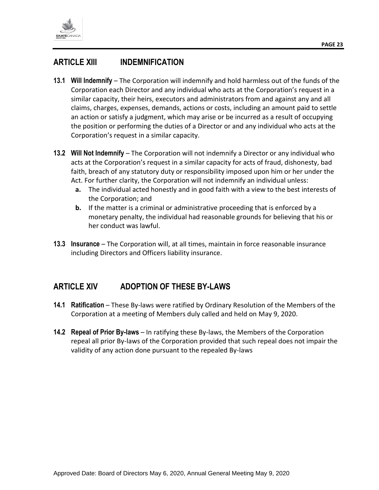

- <span id="page-22-1"></span><span id="page-22-0"></span>**13.1 Will Indemnify** – The Corporation will indemnify and hold harmless out of the funds of the Corporation each Director and any individual who acts at the Corporation's request in a similar capacity, their heirs, executors and administrators from and against any and all claims, charges, expenses, demands, actions or costs, including an amount paid to settle an action or satisfy a judgment, which may arise or be incurred as a result of occupying the position or performing the duties of a Director or and any individual who acts at the Corporation's request in a similar capacity.
- <span id="page-22-2"></span>**13.2 Will Not Indemnify** – The Corporation will not indemnify a Director or any individual who acts at the Corporation's request in a similar capacity for acts of fraud, dishonesty, bad faith, breach of any statutory duty or responsibility imposed upon him or her under the Act. For further clarity, the Corporation will not indemnify an individual unless:
	- **a.** The individual acted honestly and in good faith with a view to the best interests of the Corporation; and
	- **b.** If the matter is a criminal or administrative proceeding that is enforced by a monetary penalty, the individual had reasonable grounds for believing that his or her conduct was lawful.
- <span id="page-22-3"></span>**13.3 Insurance** – The Corporation will, at all times, maintain in force reasonable insurance including Directors and Officers liability insurance.

# <span id="page-22-4"></span>**ARTICLE XIV ADOPTION OF THESE BY-LAWS**

- <span id="page-22-5"></span>**14.1 Ratification** – These By-laws were ratified by Ordinary Resolution of the Members of the Corporation at a meeting of Members duly called and held on May 9, 2020.
- <span id="page-22-6"></span>**14.2 Repeal of Prior By-laws** – In ratifying these By-laws, the Members of the Corporation repeal all prior By-laws of the Corporation provided that such repeal does not impair the validity of any action done pursuant to the repealed By-laws